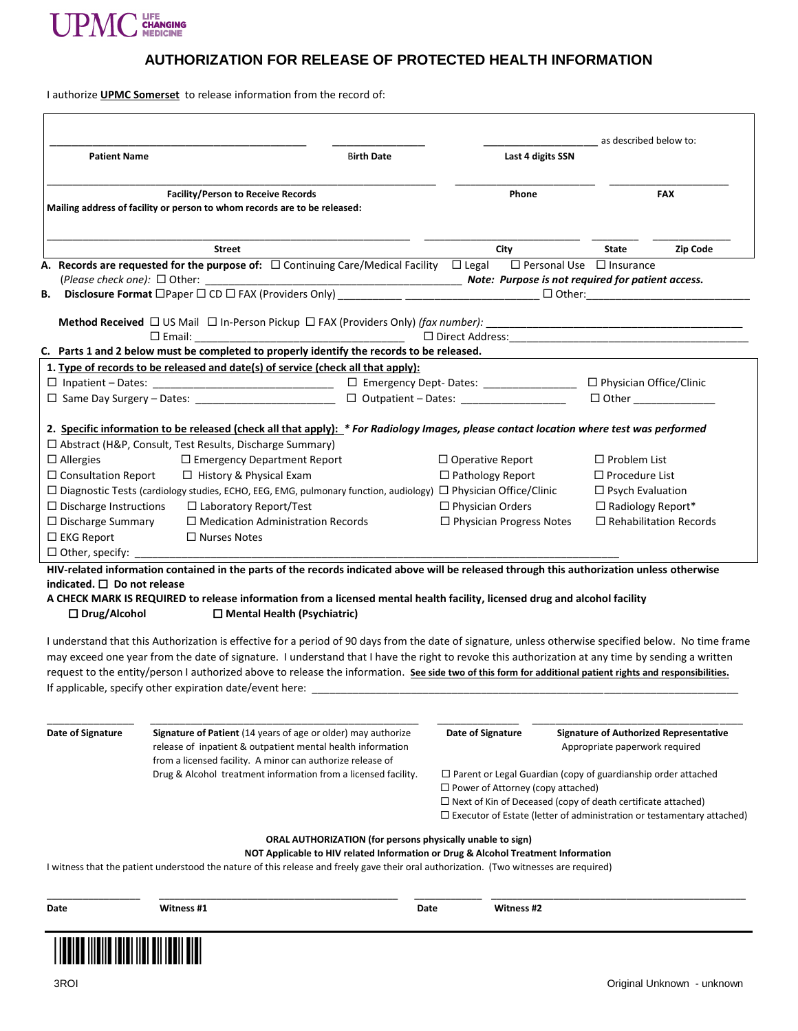

## **AUTHORIZATION FOR RELEASE OF PROTECTED HEALTH INFORMATION**

I authorize **UPMC Somerset** to release information from the record of:

| <b>Patient Name</b>                                                                                                    |                                                                                                                                                           | <b>Birth Date</b>                                                                                                                               |                                              | Last 4 digits SSN                                                                                               |                                               | as described below to:                                                        |  |
|------------------------------------------------------------------------------------------------------------------------|-----------------------------------------------------------------------------------------------------------------------------------------------------------|-------------------------------------------------------------------------------------------------------------------------------------------------|----------------------------------------------|-----------------------------------------------------------------------------------------------------------------|-----------------------------------------------|-------------------------------------------------------------------------------|--|
|                                                                                                                        |                                                                                                                                                           |                                                                                                                                                 |                                              |                                                                                                                 |                                               |                                                                               |  |
| <b>Facility/Person to Receive Records</b><br>Mailing address of facility or person to whom records are to be released: |                                                                                                                                                           |                                                                                                                                                 | Phone                                        |                                                                                                                 |                                               | <b>FAX</b>                                                                    |  |
|                                                                                                                        | <b>Street</b>                                                                                                                                             |                                                                                                                                                 |                                              | City                                                                                                            | <b>State</b>                                  | Zip Code                                                                      |  |
|                                                                                                                        | A. Records are requested for the purpose of: $\Box$ Continuing Care/Medical Facility $\Box$ Legal                                                         |                                                                                                                                                 |                                              |                                                                                                                 | $\Box$ Personal Use $\Box$ Insurance          |                                                                               |  |
| В.                                                                                                                     |                                                                                                                                                           |                                                                                                                                                 |                                              |                                                                                                                 |                                               |                                                                               |  |
|                                                                                                                        |                                                                                                                                                           |                                                                                                                                                 |                                              |                                                                                                                 |                                               |                                                                               |  |
|                                                                                                                        |                                                                                                                                                           |                                                                                                                                                 |                                              |                                                                                                                 |                                               |                                                                               |  |
|                                                                                                                        | $\square$ Email:<br>C. Parts 1 and 2 below must be completed to properly identify the records to be released.                                             |                                                                                                                                                 |                                              |                                                                                                                 |                                               |                                                                               |  |
|                                                                                                                        | 1. Type of records to be released and date(s) of service (check all that apply):                                                                          |                                                                                                                                                 |                                              |                                                                                                                 |                                               |                                                                               |  |
|                                                                                                                        |                                                                                                                                                           | □ Emergency Dept- Dates: __________________                                                                                                     |                                              |                                                                                                                 | □ Physician Office/Clinic                     |                                                                               |  |
|                                                                                                                        | $\Box$ Same Day Surgery – Dates:                                                                                                                          |                                                                                                                                                 | $\Box$ Outpatient - Dates: _________________ |                                                                                                                 |                                               |                                                                               |  |
|                                                                                                                        |                                                                                                                                                           |                                                                                                                                                 |                                              |                                                                                                                 |                                               |                                                                               |  |
|                                                                                                                        | 2. Specific information to be released (check all that apply): * For Radiology Images, please contact location where test was performed                   |                                                                                                                                                 |                                              |                                                                                                                 |                                               |                                                                               |  |
|                                                                                                                        | □ Abstract (H&P, Consult, Test Results, Discharge Summary)                                                                                                |                                                                                                                                                 |                                              |                                                                                                                 |                                               |                                                                               |  |
| $\Box$ Allergies                                                                                                       | $\Box$ Emergency Department Report                                                                                                                        |                                                                                                                                                 | $\Box$ Operative Report                      |                                                                                                                 | $\Box$ Problem List                           |                                                                               |  |
| $\Box$ Consultation Report                                                                                             | □ History & Physical Exam                                                                                                                                 |                                                                                                                                                 | $\Box$ Pathology Report                      |                                                                                                                 | $\Box$ Procedure List                         |                                                                               |  |
|                                                                                                                        | $\Box$ Diagnostic Tests (cardiology studies, ECHO, EEG, EMG, pulmonary function, audiology) $\Box$ Physician Office/Clinic                                |                                                                                                                                                 |                                              |                                                                                                                 | $\Box$ Psych Evaluation                       |                                                                               |  |
| $\Box$ Discharge Instructions                                                                                          | $\Box$ Laboratory Report/Test                                                                                                                             |                                                                                                                                                 | $\Box$ Physician Orders                      |                                                                                                                 | □ Radiology Report*                           |                                                                               |  |
| $\Box$ Discharge Summary<br>$\Box$ EKG Report                                                                          | $\Box$ Medication Administration Records<br>$\Box$ Nurses Notes                                                                                           |                                                                                                                                                 |                                              | $\Box$ Physician Progress Notes                                                                                 | $\Box$ Rehabilitation Records                 |                                                                               |  |
| $\Box$ Other, specify:                                                                                                 |                                                                                                                                                           |                                                                                                                                                 |                                              |                                                                                                                 |                                               |                                                                               |  |
|                                                                                                                        |                                                                                                                                                           |                                                                                                                                                 |                                              |                                                                                                                 |                                               |                                                                               |  |
|                                                                                                                        |                                                                                                                                                           |                                                                                                                                                 |                                              |                                                                                                                 |                                               |                                                                               |  |
| indicated. $\square$ Do not release                                                                                    | HIV-related information contained in the parts of the records indicated above will be released through this authorization unless otherwise                |                                                                                                                                                 |                                              |                                                                                                                 |                                               |                                                                               |  |
|                                                                                                                        | A CHECK MARK IS REQUIRED to release information from a licensed mental health facility, licensed drug and alcohol facility                                |                                                                                                                                                 |                                              |                                                                                                                 |                                               |                                                                               |  |
| $\Box$ Drug/Alcohol                                                                                                    | $\Box$ Mental Health (Psychiatric)                                                                                                                        |                                                                                                                                                 |                                              |                                                                                                                 |                                               |                                                                               |  |
|                                                                                                                        |                                                                                                                                                           |                                                                                                                                                 |                                              |                                                                                                                 |                                               |                                                                               |  |
|                                                                                                                        | I understand that this Authorization is effective for a period of 90 days from the date of signature, unless otherwise specified below. No time frame     |                                                                                                                                                 |                                              |                                                                                                                 |                                               |                                                                               |  |
|                                                                                                                        | may exceed one year from the date of signature. I understand that I have the right to revoke this authorization at any time by sending a written          |                                                                                                                                                 |                                              |                                                                                                                 |                                               |                                                                               |  |
|                                                                                                                        | request to the entity/person I authorized above to release the information. See side two of this form for additional patient rights and responsibilities. |                                                                                                                                                 |                                              |                                                                                                                 |                                               |                                                                               |  |
|                                                                                                                        | If applicable, specify other expiration date/event here:                                                                                                  |                                                                                                                                                 |                                              |                                                                                                                 |                                               |                                                                               |  |
|                                                                                                                        |                                                                                                                                                           |                                                                                                                                                 |                                              |                                                                                                                 |                                               |                                                                               |  |
| Date of Signature                                                                                                      | <b>Signature of Patient</b> (14 years of age or older) may authorize                                                                                      |                                                                                                                                                 | Date of Signature                            |                                                                                                                 | <b>Signature of Authorized Representative</b> |                                                                               |  |
|                                                                                                                        | release of inpatient & outpatient mental health information                                                                                               |                                                                                                                                                 |                                              |                                                                                                                 | Appropriate paperwork required                |                                                                               |  |
|                                                                                                                        | from a licensed facility. A minor can authorize release of                                                                                                |                                                                                                                                                 |                                              |                                                                                                                 |                                               |                                                                               |  |
|                                                                                                                        | Drug & Alcohol treatment information from a licensed facility.                                                                                            |                                                                                                                                                 |                                              | $\Box$ Parent or Legal Guardian (copy of guardianship order attached                                            |                                               |                                                                               |  |
|                                                                                                                        |                                                                                                                                                           |                                                                                                                                                 |                                              | $\Box$ Power of Attorney (copy attached)<br>$\Box$ Next of Kin of Deceased (copy of death certificate attached) |                                               |                                                                               |  |
|                                                                                                                        |                                                                                                                                                           |                                                                                                                                                 |                                              |                                                                                                                 |                                               | $\Box$ Executor of Estate (letter of administration or testamentary attached) |  |
|                                                                                                                        |                                                                                                                                                           |                                                                                                                                                 |                                              |                                                                                                                 |                                               |                                                                               |  |
|                                                                                                                        |                                                                                                                                                           | ORAL AUTHORIZATION (for persons physically unable to sign)<br>NOT Applicable to HIV related Information or Drug & Alcohol Treatment Information |                                              |                                                                                                                 |                                               |                                                                               |  |
|                                                                                                                        | I witness that the patient understood the nature of this release and freely gave their oral authorization. (Two witnesses are required)                   |                                                                                                                                                 |                                              |                                                                                                                 |                                               |                                                                               |  |
| Date                                                                                                                   | Witness #1                                                                                                                                                | Date                                                                                                                                            |                                              | Witness #2                                                                                                      |                                               |                                                                               |  |